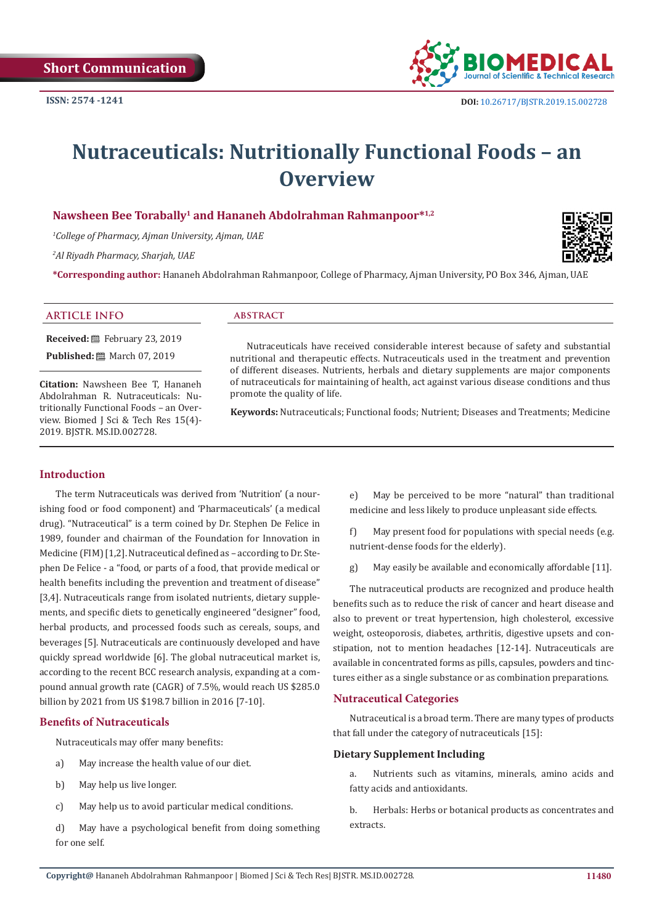

# **Nutraceuticals: Nutritionally Functional Foods – an Overview**

# **Nawsheen Bee Torabally1 and Hananeh Abdolrahman Rahmanpoor\*1,2**

*1 College of Pharmacy, Ajman University, Ajman, UAE*

*2 Al Riyadh Pharmacy, Sharjah, UAE*

**\*Corresponding author:** Hananeh Abdolrahman Rahmanpoor, College of Pharmacy, Ajman University, PO Box 346, Ajman, UAE

#### **ARTICLE INFO abstract**

**Received:** February 23, 2019 **Published:** ■ March 07, 2019

**Citation:** Nawsheen Bee T, Hananeh Abdolrahman R. Nutraceuticals: Nutritionally Functional Foods – an Overview. Biomed J Sci & Tech Res 15(4)- 2019. BJSTR. MS.ID.002728.

Nutraceuticals have received considerable interest because of safety and substantial nutritional and therapeutic effects. Nutraceuticals used in the treatment and prevention of different diseases. Nutrients, herbals and dietary supplements are major components of nutraceuticals for maintaining of health, act against various disease conditions and thus promote the quality of life.

**Keywords:** Nutraceuticals; Functional foods; Nutrient; Diseases and Treatments; Medicine

# **Introduction**

The term Nutraceuticals was derived from 'Nutrition' (a nourishing food or food component) and 'Pharmaceuticals' (a medical drug). "Nutraceutical" is a term coined by Dr. Stephen De Felice in 1989, founder and chairman of the Foundation for Innovation in Medicine (FIM) [1,2]. Nutraceutical defined as – according to Dr. Stephen De Felice - a "food, or parts of a food, that provide medical or health benefits including the prevention and treatment of disease" [3,4]. Nutraceuticals range from isolated nutrients, dietary supplements, and specific diets to genetically engineered "designer" food, herbal products, and processed foods such as cereals, soups, and beverages [5]. Nutraceuticals are continuously developed and have quickly spread worldwide [6]. The global nutraceutical market is, according to the recent BCC research analysis, expanding at a compound annual growth rate (CAGR) of 7.5%, would reach US \$285.0 billion by 2021 from US \$198.7 billion in 2016 [7-10].

#### **Benefits of Nutraceuticals**

Nutraceuticals may offer many benefits:

- a) May increase the health value of our diet.
- b) May help us live longer.
- c) May help us to avoid particular medical conditions.
- d) May have a psychological benefit from doing something for one self.

e) May be perceived to be more "natural" than traditional medicine and less likely to produce unpleasant side effects.

f) May present food for populations with special needs (e.g. nutrient-dense foods for the elderly).

g) May easily be available and economically affordable [11].

The nutraceutical products are recognized and produce health benefits such as to reduce the risk of cancer and heart disease and also to prevent or treat hypertension, high cholesterol, excessive weight, osteoporosis, diabetes, arthritis, digestive upsets and constipation, not to mention headaches [12-14]. Nutraceuticals are available in concentrated forms as pills, capsules, powders and tinctures either as a single substance or as combination preparations.

#### **Nutraceutical Categories**

Nutraceutical is a broad term. There are many types of products that fall under the category of nutraceuticals [15]:

#### **Dietary Supplement Including**

a. Nutrients such as vitamins, minerals, amino acids and fatty acids and antioxidants.

b. Herbals: Herbs or botanical products as concentrates and extracts.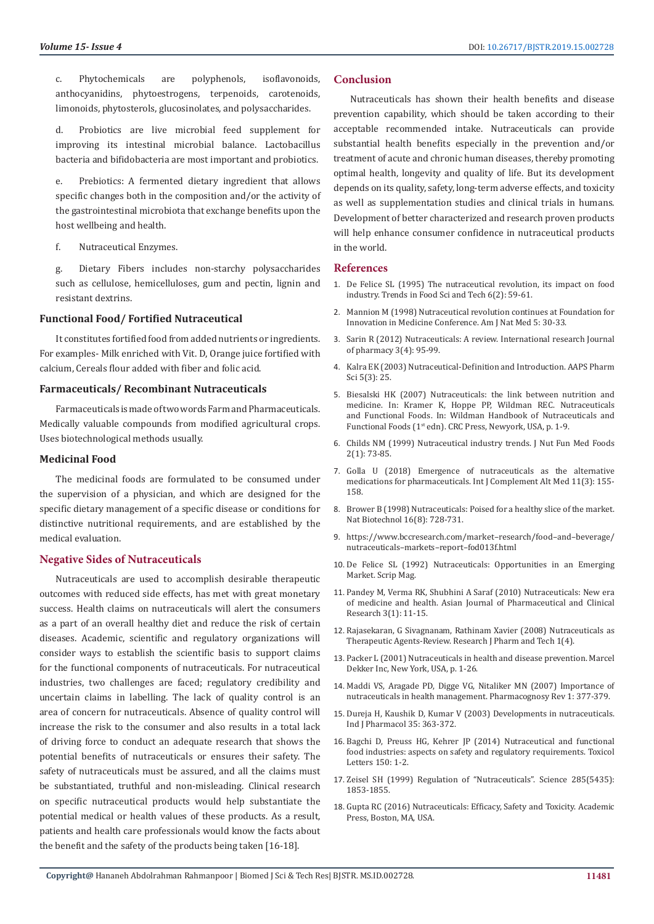c. Phytochemicals are polyphenols, isoflavonoids, anthocyanidins, phytoestrogens, terpenoids, carotenoids, limonoids, phytosterols, glucosinolates, and polysaccharides.

d. Probiotics are live microbial feed supplement for improving its intestinal microbial balance. Lactobacillus bacteria and bifidobacteria are most important and probiotics.

e. Prebiotics: A fermented dietary ingredient that allows specific changes both in the composition and/or the activity of the gastrointestinal microbiota that exchange benefits upon the host wellbeing and health.

f. Nutraceutical Enzymes.

g. Dietary Fibers includes non-starchy polysaccharides such as cellulose, hemicelluloses, gum and pectin, lignin and resistant dextrins.

#### **Functional Food/ Fortified Nutraceutical**

It constitutes fortified food from added nutrients or ingredients. For examples- Milk enriched with Vit. D, Orange juice fortified with calcium, Cereals flour added with fiber and folic acid.

#### **Farmaceuticals/ Recombinant Nutraceuticals**

Farmaceuticals is made of two words Farm and Pharmaceuticals. Medically valuable compounds from modified agricultural crops. Uses biotechnological methods usually.

#### **Medicinal Food**

The medicinal foods are formulated to be consumed under the supervision of a physician, and which are designed for the specific dietary management of a specific disease or conditions for distinctive nutritional requirements, and are established by the medical evaluation.

#### **Negative Sides of Nutraceuticals**

Nutraceuticals are used to accomplish desirable therapeutic outcomes with reduced side effects, has met with great monetary success. Health claims on nutraceuticals will alert the consumers as a part of an overall healthy diet and reduce the risk of certain diseases. Academic, scientific and regulatory organizations will consider ways to establish the scientific basis to support claims for the functional components of nutraceuticals. For nutraceutical industries, two challenges are faced; regulatory credibility and uncertain claims in labelling. The lack of quality control is an area of concern for nutraceuticals. Absence of quality control will increase the risk to the consumer and also results in a total lack of driving force to conduct an adequate research that shows the potential benefits of nutraceuticals or ensures their safety. The safety of nutraceuticals must be assured, and all the claims must be substantiated, truthful and non-misleading. Clinical research on specific nutraceutical products would help substantiate the potential medical or health values of these products. As a result, patients and health care professionals would know the facts about the benefit and the safety of the products being taken [16-18].

# **Conclusion**

Nutraceuticals has shown their health benefits and disease prevention capability, which should be taken according to their acceptable recommended intake. Nutraceuticals can provide substantial health benefits especially in the prevention and/or treatment of acute and chronic human diseases, thereby promoting optimal health, longevity and quality of life. But its development depends on its quality, safety, long-term adverse effects, and toxicity as well as supplementation studies and clinical trials in humans. Development of better characterized and research proven products will help enhance consumer confidence in nutraceutical products in the world.

### **References**

- 1. [De Felice SL \(1995\) The nutraceutical revolution, its impact on food](https://www.sciencedirect.com/science/article/abs/pii/S092422440088944X)  [industry. Trends in Food Sci and Tech 6\(2\): 59-61.](https://www.sciencedirect.com/science/article/abs/pii/S092422440088944X)
- 2. Mannion M (1998) Nutraceutical revolution continues at Foundation for Innovation in Medicine Conference. Am J Nat Med 5: 30-33.
- 3. Sarin R (2012) Nutraceuticals: A review. International research Journal of pharmacy 3(4): 95-99.
- 4. [Kalra EK \(2003\) Nutraceutical-Definition and Introduction. AAPS Pharm](https://www.ncbi.nlm.nih.gov/pubmed/14621960)  [Sci 5\(3\): 25.](https://www.ncbi.nlm.nih.gov/pubmed/14621960)
- 5. Biesalski HK (2007) Nutraceuticals: the link between nutrition and medicine. In: Kramer K, Hoppe PP, Wildman REC. Nutraceuticals and Functional Foods. In: Wildman Handbook of Nutraceuticals and Functional Foods (1st edn). CRC Press, Newyork, USA, p. 1-9.
- 6. [Childs NM \(1999\) Nutraceutical industry trends. J Nut Fun Med Foods](https://www.researchgate.net/publication/244923924_Nutraceutical_Industry_Trends)  [2\(1\): 73-85.](https://www.researchgate.net/publication/244923924_Nutraceutical_Industry_Trends)
- 7. [Golla U \(2018\) Emergence of nutraceuticals as the alternative](https://pdfs.semanticscholar.org/b928/1e041cc272c9754909738d96dd3d7b990b05.pdf)  [medications for pharmaceuticals. Int J Complement Alt Med 11\(3\): 155-](https://pdfs.semanticscholar.org/b928/1e041cc272c9754909738d96dd3d7b990b05.pdf) [158.](https://pdfs.semanticscholar.org/b928/1e041cc272c9754909738d96dd3d7b990b05.pdf)
- 8. [Brower B \(1998\) Nutraceuticals: Poised for a healthy slice of the market.](https://www.ncbi.nlm.nih.gov/pubmed/9702769)  [Nat Biotechnol 16\(8\): 728-731.](https://www.ncbi.nlm.nih.gov/pubmed/9702769)
- 9. https://www.bccresearch.com/market–research/food–and–beverage/ nutraceuticals–markets–report–fod013f.html
- 10. [De Felice SL \(1992\) Nutraceuticals: Opportunities in an Emerging](http://www.fimdefelice.org/p2463.html)  [Market. Scrip Mag.](http://www.fimdefelice.org/p2463.html)
- 11. [Pandey M, Verma RK, Shubhini A Saraf \(2010\) Nutraceuticals: New era](https://innovareacademics.in/journal/ajpcr/Vol3Issue1/265.pdf)  [of medicine and health. Asian Journal of Pharmaceutical and Clinical](https://innovareacademics.in/journal/ajpcr/Vol3Issue1/265.pdf)  [Research 3\(1\): 11-15.](https://innovareacademics.in/journal/ajpcr/Vol3Issue1/265.pdf)
- 12. [Rajasekaran, G Sivagnanam, Rathinam Xavier \(2008\) Nutraceuticals as](https://www.researchgate.net/publication/268427982_Nutraceuticals_as_therapeutic_agents_A_Review)  [Therapeutic Agents-Review. Research J Pharm and Tech 1\(4\).](https://www.researchgate.net/publication/268427982_Nutraceuticals_as_therapeutic_agents_A_Review)
- 13. Packer L (2001) Nutraceuticals in health and disease prevention. Marcel Dekker Inc, New York, USA, p. 1-26.
- 14. [Maddi VS, Aragade PD, Digge VG, Nitaliker MN \(2007\) Importance of](https://www.researchgate.net/publication/308019158_Importance_of_nutraceuticals_in_health_management/)  [nutraceuticals in health management. Pharmacognosy Rev 1: 377-379.](https://www.researchgate.net/publication/308019158_Importance_of_nutraceuticals_in_health_management/)
- 15. [Dureja H, Kaushik D, Kumar V \(2003\) Developments in nutraceuticals.](http://medind.nic.in/ibi/t03/i6/ibit03i6p363.pdf)  [Ind J Pharmacol 35: 363-372.](http://medind.nic.in/ibi/t03/i6/ibit03i6p363.pdf)
- 16. [Bagchi D, Preuss HG, Kehrer JP \(2014\) Nutraceutical and functional](https://dspace2.creighton.edu/xmlui/handle/10504/72396)  [food industries: aspects on safety and regulatory requirements. Toxicol](https://dspace2.creighton.edu/xmlui/handle/10504/72396)  [Letters 150: 1-2.](https://dspace2.creighton.edu/xmlui/handle/10504/72396)
- 17. [Zeisel SH \(1999\) Regulation of "Nutraceuticals". Science 285\(5435\):](https://www.ncbi.nlm.nih.gov/pubmed/10515789)  [1853-1855.](https://www.ncbi.nlm.nih.gov/pubmed/10515789)
- 18. [Gupta RC \(2016\) Nutraceuticals: Efficacy, Safety and Toxicity. Academic](https://www.researchgate.net/profile/Arturo_Anadon/publication/295503583_Evaluation_and_Regulation_of_Food_Supplements_European_Perspective/links/57114a4708aeff315b9f77e9/Evaluation-and-Regulation-of-Food-Supplements-European-Perspective.pdf)  [Press, Boston, MA, USA.](https://www.researchgate.net/profile/Arturo_Anadon/publication/295503583_Evaluation_and_Regulation_of_Food_Supplements_European_Perspective/links/57114a4708aeff315b9f77e9/Evaluation-and-Regulation-of-Food-Supplements-European-Perspective.pdf)